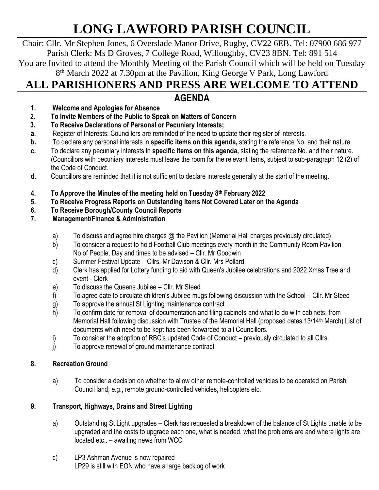# **LONG LAWFORD PARISH COUNCIL**

Chair: Cllr. Mr Stephen Jones, 6 Overslade Manor Drive, Rugby, CV22 6EB. Tel: 07900 686 977 Parish Clerk: Ms D Groves, 7 College Road, Willoughby, CV23 8BN. Tel: 891 514 You are Invited to attend the Monthly Meeting of the Parish Council which will be held on Tuesday 8<sup>th</sup> March 2022 at 7.30pm at the Pavilion, King George V Park, Long Lawford

# **ALL PARISHIONERS AND PRESS ARE WELCOME TO ATTEND**

## **AGENDA**

- **1. Welcome and Apologies for Absence**
- **2. To Invite Members of the Public to Speak on Matters of Concern**
- **3. To Receive Declarations of Personal or Pecuniary Interests;**
- **a.** Register of Interests: Councillors are reminded of the need to update their register of interests.
- **b.** To declare any personal interests in **specific items on this agenda,** stating the reference No. and their nature.
- **c.** To declare any pecuniary interests in **specific items on this agenda,** stating the reference No. and their nature. (Councillors with pecuniary interests must leave the room for the relevant items, subject to sub-paragraph 12 (2) of the Code of Conduct.
- **d.** Councillors are reminded that it is not sufficient to declare interests generally at the start of the meeting.
- **4. To Approve the Minutes of the meeting held on Tuesday 8 th February 2022**
- **5. To Receive Progress Reports on Outstanding Items Not Covered Later on the Agenda**
- **6. To Receive Borough/County Council Reports**
- **7. Management/Finance & Administration**
	- a) To discuss and agree hire charges @ the Pavilion (Memorial Hall charges previously circulated)
	- b) To consider a request to hold Football Club meetings every month in the Community Room Pavilion No of People, Day and times to be advised – Cllr. Mr Goodwin
	- c) Summer Festival Update Cllrs. Mr Davison & Cllr. Mrs Pollard
	- d) Clerk has applied for Lottery funding to aid with Queen's Jubilee celebrations and 2022 Xmas Tree and event - Clerk
	- e) To discuss the Queens Jubilee Cllr. Mr Steed
	- f) To agree date to circulate children's Jubilee mugs following discussion with the School Cllr. Mr Steed
	- g) To approve the annual St Lighting maintenance contract
	- h) To confirm date for removal of documentation and filing cabinets and what to do with cabinets, from Memorial Hall following discussion with Trustee of the Memorial Hall (proposed dates 13/14<sup>th</sup> March) List of documents which need to be kept has been forwarded to all Councillors.
	- i) To consider the adoption of RBC's updated Code of Conduct previously circulated to all Cllrs.
	- j) To approve renewal of ground maintenance contract

#### **8. Recreation Ground**

a) To consider a decision on whether to allow other remote-controlled vehicles to be operated on Parish Council land; e.g., remote ground-controlled vehicles, helicopters etc.

#### **9. Transport, Highways, Drains and Street Lighting**

- a) Outstanding St Light upgrades Clerk has requested a breakdown of the balance of St Lights unable to be upgraded and the costs to upgrade each one, what is needed, what the problems are and where lights are located etc.. – awaiting news from WCC
- c) LP3 Ashman Avenue is now repaired LP29 is still with EON who have a large backlog of work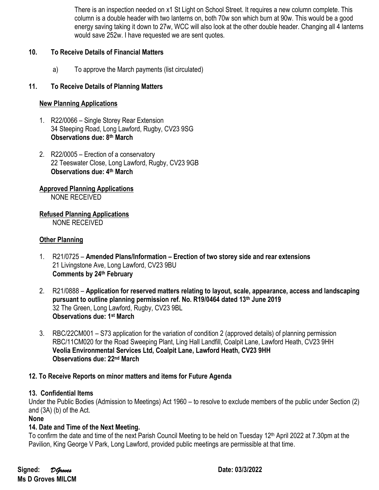There is an inspection needed on x1 St Light on School Street. It requires a new column complete. This column is a double header with two lanterns on, both 70w son which burn at 90w. This would be a good energy saving taking it down to 27w, WCC will also look at the other double header. Changing all 4 lanterns would save 252w. I have requested we are sent quotes.

#### **10. To Receive Details of Financial Matters**

a) To approve the March payments (list circulated)

#### **11. To Receive Details of Planning Matters**

#### **New Planning Applications**

- 1. R22/0066 Single Storey Rear Extension 34 Steeping Road, Long Lawford, Rugby, CV23 9SG **Observations due: 8th March**
- 2. R22/0005 Erection of a conservatory 22 Teeswater Close, Long Lawford, Rugby, CV23 9GB **Observations due: 4th March**

### **Approved Planning Applications**

NONE RECEIVED

**Refused Planning Applications**

NONE RECEIVED

#### **Other Planning**

- 1. R21/0725 **Amended Plans/Information – Erection of two storey side and rear extensions** 21 Livingstone Ave, Long Lawford, CV23 9BU **Comments by 24th February**
- 2. R21/0888 **Application for reserved matters relating to layout, scale, appearance, access and landscaping pursuant to outline planning permission ref. No. R19/0464 dated 13th June 2019** 32 The Green, Long Lawford, Rugby, CV23 9BL **Observations due: 1st March**
- 3. RBC/22CM001 S73 application for the variation of condition 2 (approved details) of planning permission RBC/11CM020 for the Road Sweeping Plant, Ling Hall Landfill, Coalpit Lane, Lawford Heath, CV23 9HH **Veolia Environmental Services Ltd, Coalpit Lane, Lawford Heath, CV23 9HH Observations due: 22nd March**

#### **12. To Receive Reports on minor matters and items for Future Agenda**

#### **13. Confidential Items**

Under the Public Bodies (Admission to Meetings) Act 1960 – to resolve to exclude members of the public under Section (2) and (3A) (b) of the Act.

**None**

#### **14. Date and Time of the Next Meeting.**

To confirm the date and time of the next Parish Council Meeting to be held on Tuesday 12<sup>th</sup> April 2022 at 7.30pm at the Pavilion, King George V Park, Long Lawford, provided public meetings are permissible at that time.